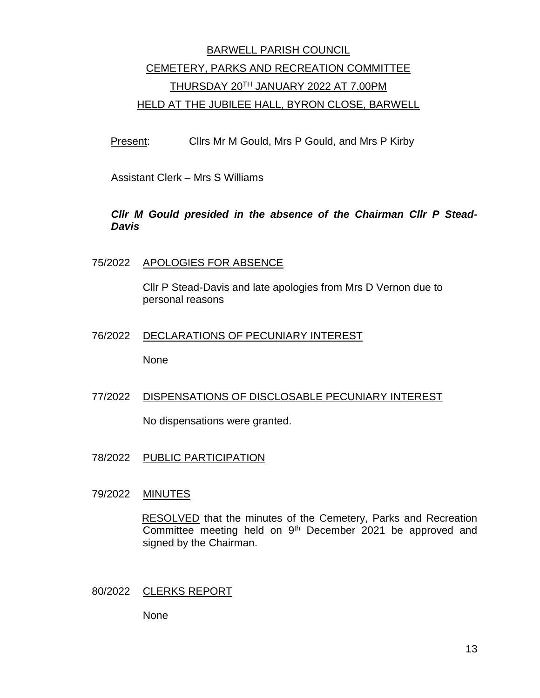# BARWELL PARISH COUNCIL CEMETERY, PARKS AND RECREATION COMMITTEE THURSDAY 20TH JANUARY 2022 AT 7.00PM HELD AT THE JUBILEE HALL, BYRON CLOSE, BARWELL

Present: Cllrs Mr M Gould, Mrs P Gould, and Mrs P Kirby

Assistant Clerk – Mrs S Williams

# *Cllr M Gould presided in the absence of the Chairman Cllr P Stead-Davis*

### 75/2022 APOLOGIES FOR ABSENCE

Cllr P Stead-Davis and late apologies from Mrs D Vernon due to personal reasons

#### 76/2022 DECLARATIONS OF PECUNIARY INTEREST

None

# 77/2022 DISPENSATIONS OF DISCLOSABLE PECUNIARY INTEREST

No dispensations were granted.

78/2022 PUBLIC PARTICIPATION

#### 79/2022 MINUTES

RESOLVED that the minutes of the Cemetery, Parks and Recreation Committee meeting held on 9<sup>th</sup> December 2021 be approved and signed by the Chairman.

#### 80/2022 CLERKS REPORT

None